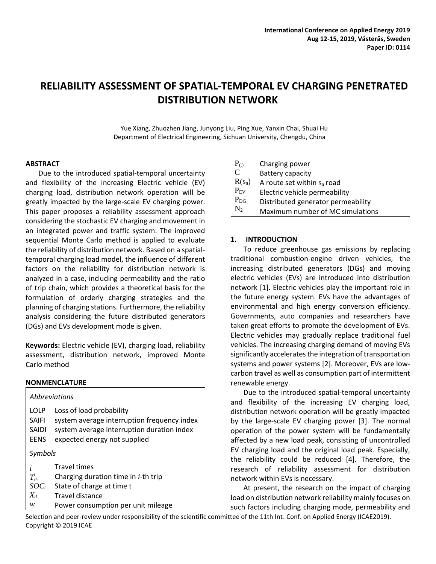# **RELIABILITY ASSESSMENT OF SPATIAL-TEMPORAL EV CHARGING PENETRATED DISTRIBUTION NETWORK**

Yue Xiang, Zhuozhen Jiang, Junyong Liu, Ping Xue, Yanxin Chai, Shuai Hu Department of Electrical Engineering, Sichuan University, Chengdu, China

 $\mathbf{r}$ 

#### **ABSTRACT**

Due to the introduced spatial-temporal uncertainty and flexibility of the increasing Electric vehicle (EV) charging load, distribution network operation will be greatly impacted by the large-scale EV charging power. This paper proposes a reliability assessment approach considering the stochastic EV charging and movement in an integrated power and traffic system. The improved sequential Monte Carlo method is applied to evaluate the reliability of distribution network. Based on a spatialtemporal charging load model, the influence of different factors on the reliability for distribution network is analyzed in a case, including permeability and the ratio of trip chain, which provides a theoretical basis for the formulation of orderly charging strategies and the planning of charging stations. Furthermore, the reliability analysis considering the future distributed generators (DGs) and EVs development mode is given.

**Keywords:** Electric vehicle (EV), charging load, reliability assessment, distribution network, improved Monte Carlo method

#### **NONMENCLATURE**

| Abbreviations |                                             |  |  |  |
|---------------|---------------------------------------------|--|--|--|
| LOLP          | Loss of load probability                    |  |  |  |
| <b>SAIFI</b>  | system average interruption frequency index |  |  |  |
| <b>SAIDI</b>  | system average interruption duration index  |  |  |  |
| <b>EENS</b>   | expected energy not supplied                |  |  |  |
| Symbols       |                                             |  |  |  |
| i             | <b>Travel times</b>                         |  |  |  |
| $T_{ch}^i$    | Charging duration time in <i>i</i> -th trip |  |  |  |
| $SOC_t$       | State of charge at time t                   |  |  |  |
| $X_d$         | Travel distance                             |  |  |  |
| w             | Power consumption per unit mileage          |  |  |  |

| $P_{(.)}$      | Charging power                     |
|----------------|------------------------------------|
| $\overline{C}$ | Battery capacity                   |
| $R(s_n)$       | A route set within $s_n$ road      |
| $P_{EV}$       | Electric vehicle permeability      |
| $P_{DG}$       | Distributed generator permeability |
| $N_2$          | Maximum number of MC simulations   |

## **1. INTRODUCTION**

To reduce greenhouse gas emissions by replacing traditional combustion-engine driven vehicles, the increasing distributed generators (DGs) and moving electric vehicles (EVs) are introduced into distribution network [1]. Electric vehicles play the important role in the future energy system. EVs have the advantages of environmental and high energy conversion efficiency. Governments, auto companies and researchers have taken great efforts to promote the development of EVs. Electric vehicles may gradually replace traditional fuel vehicles. The increasing charging demand of moving EVs significantly accelerates the integration of transportation systems and power systems [2]. Moreover, EVs are lowcarbon travel as well as consumption part of intermittent renewable energy.

Due to the introduced spatial-temporal uncertainty and flexibility of the increasing EV charging load, distribution network operation will be greatly impacted by the large-scale EV charging power [3]. The normal operation of the power system will be fundamentally affected by a new load peak, consisting of uncontrolled EV charging load and the original load peak. Especially, the reliability could be reduced [4]. Therefore, the research of reliability assessment for distribution network within EVs is necessary.

At present, the research on the impact of charging load on distribution network reliability mainly focuses on such factors including charging mode, permeability and

Selection and peer-review under responsibility of the scientific committee of the 11th Int. Conf. on Applied Energy (ICAE2019). Copyright © 2019 ICAE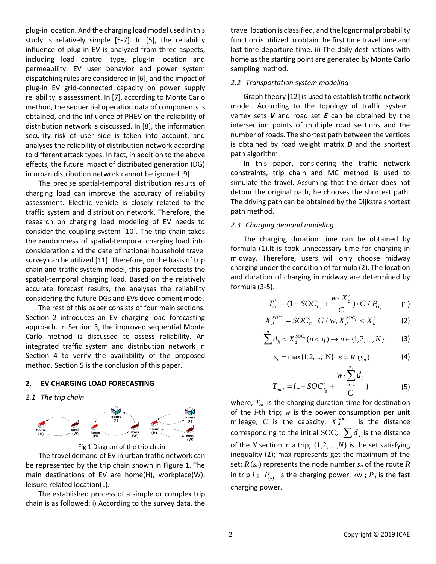plug-in location. And the charging load model used in this study is relatively simple [5-7]. In [5], the reliability influence of plug-in EV is analyzed from three aspects, including load control type, plug-in location and permeability. EV user behavior and power system dispatching rules are considered in [6], and the impact of plug-in EV grid-connected capacity on power supply reliability is assessment. In [7], according to Monte Carlo method, the sequential operation data of components is obtained, and the influence of PHEV on the reliability of distribution network is discussed. In [8], the information security risk of user side is taken into account, and analyses the reliability of distribution network according to different attack types. In fact, in addition to the above effects, the future impact of distributed generation (DG) in urban distribution network cannot be ignored [9].

The precise spatial-temporal distribution results of charging load can improve the accuracy of reliability assessment. Electric vehicle is closely related to the traffic system and distribution network. Therefore, the research on charging load modeling of EV needs to consider the coupling system [10]. The trip chain takes the randomness of spatial-temporal charging load into consideration and the date of national household travel survey can be utilized [11]. Therefore, on the basis of trip chain and traffic system model, this paper forecasts the spatial-temporal charging load. Based on the relatively accurate forecast results, the analyses the reliability considering the future DGs and EVs development mode.

The rest of this paper consists of four main sections. Section 2 introduces an EV charging load forecasting approach. In Section 3, the improved sequential Monte Carlo method is discussed to assess reliability. An integrated traffic system and distribution network in Section 4 to verify the availability of the proposed method. Section 5 is the conclusion of this paper.

## **2. EV CHARGING LOAD FORECASTING**

## *2.1 The trip chain*





The travel demand of EV in urban traffic network can be represented by the trip chain shown in Figure 1. The main destinations of EV are home(H), workplace(W), leisure-related location(L).

The established process of a simple or complex trip chain is as followed: i) According to the survey data, the travel location is classified, and the lognormal probability function is utilized to obtain the first time travel time and last time departure time. ii) The daily destinations with home as the starting point are generated by Monte Carlo sampling method.

## *2.2 Transportation system modeling*

Graph theory [12] is used to establish traffic network model. According to the topology of traffic system, vertex sets *V* and road set *E* can be obtained by the intersection points of multiple road sections and the number of roads. The shortest path between the vertices is obtained by road weight matrix *D* and the shortest path algorithm.

In this paper, considering the traffic network constraints, trip chain and MC method is used to simulate the travel. Assuming that the driver does not detour the original path, he chooses the shortest path. The driving path can be obtained by the Dijkstra shortest path method.

## *2.3 Charging demand modeling*

The charging duration time can be obtained by formula (1).It is took unnecessary time for charging in midway. Therefore, users will only choose midway charging under the condition of formula (2). The location and duration of charging in midway are determined by formula (3-5).

$$
T_{ch}^{i} = (1 - SOC_{T_o}^{i} + \frac{w \cdot X_d^{i}}{C}) \cdot C / P_{(\cdot)}
$$
 (1)

$$
X_d^{SOC_i} = SOC_{T_0}^i \cdot C / w, X_d^{SOC_i} < X_d^i \tag{2}
$$

$$
\sum_{a=1}^{n} d_{h} < X_{d}^{SOC_{i}} \left( n < g \right) \to n \in \{1, 2, ..., N\} \tag{3}
$$

$$
s_n = \max\{1, 2, ..., N\}, \ s = R^i(s_n)
$$
 (4)

$$
T_{mid} = (1 - SOC_{T_0}^i + \frac{w \cdot \sum_{h=1}^{s_n} d_h}{C})
$$
 (5)

where,  $T_{ch}$  is the charging duration time for destination of the *i*-th trip; *w* is the power consumption per unit mileage; C is the capacity;  $X_{d}^{soc}$  is the distance corresponding to the initial SOC;  $\sum d_k$  is the distance of the *N* section in a trip; {1,2,…,*N*} is the set satisfying inequality (2); max represents get the maximum of the set; *R i* (*sn*) represents the node number *s<sup>n</sup>* of the route *R* in trip  $i$ ;  $P_{(•)}$  is the charging power, kw;  $P_q$  is the fast charging power.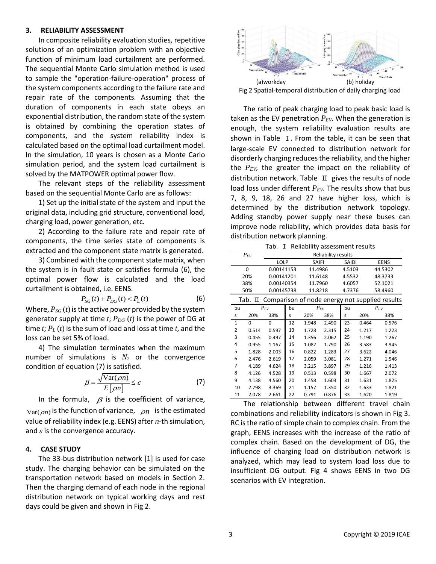#### **3. RELIABILITY ASSESSMENT**

In composite reliability evaluation studies, repetitive solutions of an optimization problem with an objective function of minimum load curtailment are performed. The sequential Monte Carlo simulation method is used to sample the "operation-failure-operation" process of the system components according to the failure rate and repair rate of the components. Assuming that the duration of components in each state obeys an exponential distribution, the random state of the system is obtained by combining the operation states of components, and the system reliability index is calculated based on the optimal load curtailment model. In the simulation, 10 years is chosen as a Monte Carlo simulation period, and the system load curtailment is solved by the MATPOWER optimal power flow.

The relevant steps of the reliability assessment based on the sequential Monte Carlo are as follows:

1) Set up the initial state of the system and input the original data, including grid structure, conventional load, charging load, power generation, etc.

2) According to the failure rate and repair rate of components, the time series state of components is extracted and the component state matrix is generated.

3) Combined with the component state matrix, when the system is in fault state or satisfies formula (6), the optimal power flow is calculated and the load curtailment is obtained, i.e. EENS.

$$
P_{SG}(t) + P_{DG}(t) < P_L(t) \tag{6}
$$

 generator supply at time *t*; *PDG* (*t*) is the power of DG at Where,  $P_{SG}(t)$  is the active power provided by the system time *t*; *P<sup>L</sup>* (*t*) is the sum of load and loss at time *t*, and the loss can be set 5% of load.

4) The simulation terminates when the maximum number of simulations is  $N_2$  or the convergence condition of equation (7) is satisfied.

$$
\beta = \frac{\sqrt{\text{Var}(\rho n)}}{E[\rho n]} \le \varepsilon \tag{7}
$$

In the formula,  $\beta$  is the coefficient of variance,  $Var(\rho n)$  is the function of variance,  $\rho n$  is the estimated value of reliability index (e.g. EENS) after *n*-th simulation, and *ε* is the convergence accuracy.

#### **4. CASE STUDY**

The 33-bus distribution network [1] is used for case study. The charging behavior can be simulated on the transportation network based on models in Section 2. Then the charging demand of each node in the regional distribution network on typical working days and rest days could be given and shown in Fig 2.



The ratio of peak charging load to peak basic load is taken as the EV penetration *PEV*. When the generation is enough, the system reliability evaluation results are shown in Table I. From the table, it can be seen that large-scale EV connected to distribution network for disorderly charging reduces the reliability, and the higher the *PEV*, the greater the impact on the reliability of distribution network. Table  $\Box$  gives the results of node load loss under different  $P_{EV}$ . The results show that bus 7, 8, 9, 18, 26 and 27 have higher loss, which is determined by the distribution network topology. Adding standby power supply near these buses can improve node reliability, which provides data basis for distribution network planning.

Tab. I Reliability assessment results

| $P_{EV}$ | <b>Reliability results</b> |         |        |             |  |  |  |
|----------|----------------------------|---------|--------|-------------|--|--|--|
|          | LOLP                       | SAIFI   | SAIDI  | <b>EENS</b> |  |  |  |
| 0        | 0.00141153                 | 11.4986 | 4.5103 | 44.5302     |  |  |  |
| 20%      | 0.00141201                 | 11.6148 | 4.5532 | 48.3733     |  |  |  |
| 38%      | 0.00140354                 | 11.7960 | 4.6057 | 52.1021     |  |  |  |
| 50%      | 0.00145738                 | 11.8218 | 4.7376 | 58.4960     |  |  |  |

Tab. Ⅱ Comparison of node energy not supplied results

| Tab. If comparison or node energy not supplied results |          |       |    |          |       |    |          |       |
|--------------------------------------------------------|----------|-------|----|----------|-------|----|----------|-------|
| bu                                                     | $P_{EV}$ |       | bu | $P_{EV}$ |       | bu | $P_{EV}$ |       |
| s                                                      | 20%      | 38%   | s  | 20%      | 38%   | s  | 20%      | 38%   |
| $\mathbf{1}$                                           | 0        | 0     | 12 | 1.948    | 2.490 | 23 | 0.464    | 0.576 |
| 2                                                      | 0.514    | 0.597 | 13 | 1.728    | 2.315 | 24 | 1.217    | 1.223 |
| 3                                                      | 0.455    | 0.497 | 14 | 1.356    | 2.062 | 25 | 1.190    | 1.267 |
| 4                                                      | 0.955    | 1.167 | 15 | 1.082    | 1.790 | 26 | 3.583    | 3.945 |
| 5                                                      | 1.828    | 2.003 | 16 | 0.822    | 1.283 | 27 | 3.622    | 4.046 |
| 6                                                      | 2.476    | 2.619 | 17 | 2.059    | 3.081 | 28 | 1.271    | 1.546 |
| 7                                                      | 4.189    | 4.624 | 18 | 3.215    | 3.897 | 29 | 1.216    | 1.413 |
| 8                                                      | 4.126    | 4.528 | 19 | 0.513    | 0.598 | 30 | 1.667    | 2.072 |
| 9                                                      | 4.138    | 4.560 | 20 | 1.458    | 1.603 | 31 | 1.631    | 1.825 |
| 10                                                     | 2.798    | 3.369 | 21 | 1.157    | 1.350 | 32 | 1.633    | 1.821 |
| 11                                                     | 2.078    | 2.661 | 22 | 0.791    | 0.876 | 33 | 1.620    | 1.819 |

The relationship between different travel chain combinations and reliability indicators is shown in Fig 3. RC is the ratio of simple chain to complex chain. From the graph, EENS increases with the increase of the ratio of complex chain. Based on the development of DG, the influence of charging load on distribution network is analyzed, which may lead to system load loss due to insufficient DG output. Fig 4 shows EENS in two DG scenarios with EV integration.